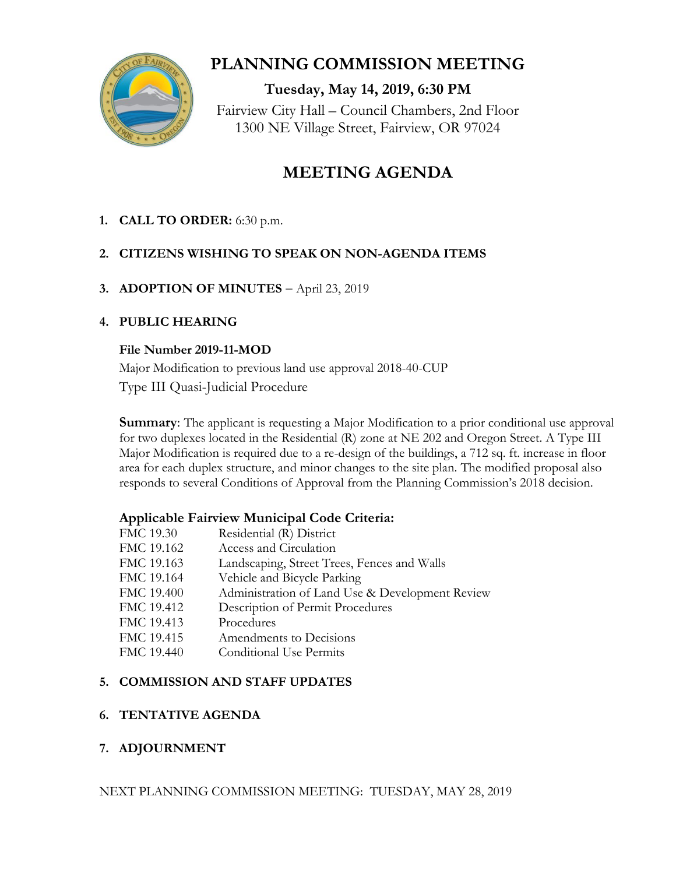

## **PLANNING COMMISSION MEETING**

**Tuesday, May 14, 2019, 6:30 PM** Fairview City Hall – Council Chambers, 2nd Floor 1300 NE Village Street, Fairview, OR 97024

# **MEETING AGENDA**

**1. CALL TO ORDER:** 6:30 p.m.

## **2. CITIZENS WISHING TO SPEAK ON NON-AGENDA ITEMS**

**3. ADOPTION OF MINUTES** – April 23, 2019

## **4. PUBLIC HEARING**

#### **File Number 2019-11-MOD**

Major Modification to previous land use approval 2018-40-CUP Type III Quasi-Judicial Procedure

**Summary**: The applicant is requesting a Major Modification to a prior conditional use approval for two duplexes located in the Residential (R) zone at NE 202 and Oregon Street. A Type III Major Modification is required due to a re-design of the buildings, a 712 sq. ft. increase in floor area for each duplex structure, and minor changes to the site plan. The modified proposal also responds to several Conditions of Approval from the Planning Commission's 2018 decision.

## **Applicable Fairview Municipal Code Criteria:**

| FMC 19.30  | Residential (R) District                        |
|------------|-------------------------------------------------|
| FMC 19.162 | Access and Circulation                          |
| FMC 19.163 | Landscaping, Street Trees, Fences and Walls     |
| FMC 19.164 | Vehicle and Bicycle Parking                     |
| FMC 19.400 | Administration of Land Use & Development Review |
| FMC 19.412 | Description of Permit Procedures                |
| FMC 19.413 | Procedures                                      |
| FMC 19.415 | Amendments to Decisions                         |
| FMC 19.440 | <b>Conditional Use Permits</b>                  |
|            |                                                 |

## **5. COMMISSION AND STAFF UPDATES**

## **6. TENTATIVE AGENDA**

## **7. ADJOURNMENT**